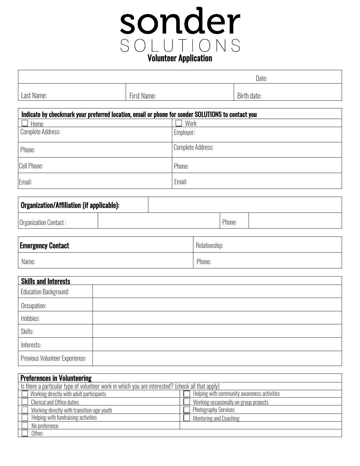## sonder SOLUTIONS<br> **Volunteer Application**

|            |                | Date:       |
|------------|----------------|-------------|
| Last Name: | First<br>Name: | Birth date: |

| Indicate by checkmark your preferred location, email or phone for sonder SOLUTIONS to contact you |                   |  |  |
|---------------------------------------------------------------------------------------------------|-------------------|--|--|
| Home                                                                                              | Work              |  |  |
| Complete Address:                                                                                 | Employer:         |  |  |
| Phone:                                                                                            | Complete Address: |  |  |
| <b>Cell Phone:</b>                                                                                | Phone:            |  |  |
| Email:                                                                                            | Email:            |  |  |

| Organization/Affiliation (if applicable): |  |        |  |
|-------------------------------------------|--|--------|--|
| Organization Contact:                     |  | Phone: |  |

| <b>Emergency Contact</b> | Relationship: |
|--------------------------|---------------|
| Name:                    | Phone:        |

| <b>Skills and Interests</b>    |  |  |
|--------------------------------|--|--|
| <b>Education Background:</b>   |  |  |
| Occupation:                    |  |  |
| Hobbies:                       |  |  |
| Skills:                        |  |  |
| Interests:                     |  |  |
| Previous Volunteer Experience: |  |  |

| <b>Preferences in Volunteering</b>                                                               |                                             |  |  |
|--------------------------------------------------------------------------------------------------|---------------------------------------------|--|--|
| Is there a particular type of volunteer work in which you are interested? (check all that apply) |                                             |  |  |
| $\Box$ Working directly with adult participants                                                  | Helping with community awareness activities |  |  |
| $\Box$ Clerical and Office duties                                                                | Working occasionally on group projects      |  |  |
| $\Box$ Working directly with transition-age youth                                                | <b>Photography Services</b>                 |  |  |
| Helping with fundraising activities                                                              | Mentoring and Coaching                      |  |  |
| No preference                                                                                    |                                             |  |  |
| Other:                                                                                           |                                             |  |  |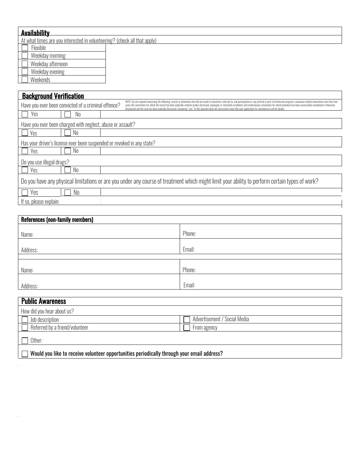| Availability                                                                                                                                                                                                                                                                                                                                                                                                                                                                                                                                                                                                                                                                                      |  |  |
|---------------------------------------------------------------------------------------------------------------------------------------------------------------------------------------------------------------------------------------------------------------------------------------------------------------------------------------------------------------------------------------------------------------------------------------------------------------------------------------------------------------------------------------------------------------------------------------------------------------------------------------------------------------------------------------------------|--|--|
| At what times are you interested in volunteering? (check all that apply)                                                                                                                                                                                                                                                                                                                                                                                                                                                                                                                                                                                                                          |  |  |
| Flexible                                                                                                                                                                                                                                                                                                                                                                                                                                                                                                                                                                                                                                                                                          |  |  |
| Weekday morning                                                                                                                                                                                                                                                                                                                                                                                                                                                                                                                                                                                                                                                                                   |  |  |
| Weekday afternoon                                                                                                                                                                                                                                                                                                                                                                                                                                                                                                                                                                                                                                                                                 |  |  |
| Weekday evening                                                                                                                                                                                                                                                                                                                                                                                                                                                                                                                                                                                                                                                                                   |  |  |
| Weekends                                                                                                                                                                                                                                                                                                                                                                                                                                                                                                                                                                                                                                                                                          |  |  |
|                                                                                                                                                                                                                                                                                                                                                                                                                                                                                                                                                                                                                                                                                                   |  |  |
| <b>Background Verification</b>                                                                                                                                                                                                                                                                                                                                                                                                                                                                                                                                                                                                                                                                    |  |  |
| NOTE: Do not respond concerning the following: arrests or detentions that did not result in conviction: referrals to, and participation in, any pretrial or post-trial diversion program: marijuana-related convictions more t<br>Have you ever been convicted of a criminal offence?<br>years old: convictions for which the record has been judicially-ordered sealed, dismissed, expunged, or statutorily irradiated: and misdemeanor convictions for which probation has been successfully completed or otherwise<br>discharged and the case has been judicially dismissed. Answering "yes" to this question does not necessarily mean that your application for volunteerism will be denied. |  |  |
| Yes<br>No                                                                                                                                                                                                                                                                                                                                                                                                                                                                                                                                                                                                                                                                                         |  |  |
| Have you ever been charged with neglect, abuse or assault?                                                                                                                                                                                                                                                                                                                                                                                                                                                                                                                                                                                                                                        |  |  |
| N <sub>0</sub><br>Yes                                                                                                                                                                                                                                                                                                                                                                                                                                                                                                                                                                                                                                                                             |  |  |
| Has your driver's license ever been suspended or revoked in any state?                                                                                                                                                                                                                                                                                                                                                                                                                                                                                                                                                                                                                            |  |  |
| No<br>Yes                                                                                                                                                                                                                                                                                                                                                                                                                                                                                                                                                                                                                                                                                         |  |  |
| Do you use illegal drugs?                                                                                                                                                                                                                                                                                                                                                                                                                                                                                                                                                                                                                                                                         |  |  |

|  | $\mid$ Do you have any physical limitations or are you under any course of treatment which might limit your ability to perform certain types of work? |
|--|-------------------------------------------------------------------------------------------------------------------------------------------------------|
|  |                                                                                                                                                       |

 $\Box$  Yes  $\Box$  No

| тант |  |
|------|--|

| <b>References (non-family members)</b> |        |  |
|----------------------------------------|--------|--|
| Name:                                  | Phone: |  |
| Address:                               | Email: |  |
|                                        |        |  |
| Name:                                  | Phone: |  |
| Address:                               | Email: |  |

| <b>Public Awareness</b>                                                                    |                              |  |
|--------------------------------------------------------------------------------------------|------------------------------|--|
| How did you hear about us?                                                                 |                              |  |
| Job description                                                                            | Advertisement / Social Media |  |
| Referred by a friend/volunteer                                                             | From agency                  |  |
| Other:                                                                                     |                              |  |
| Would you like to receive volunteer opportunities periodically through your email address? |                              |  |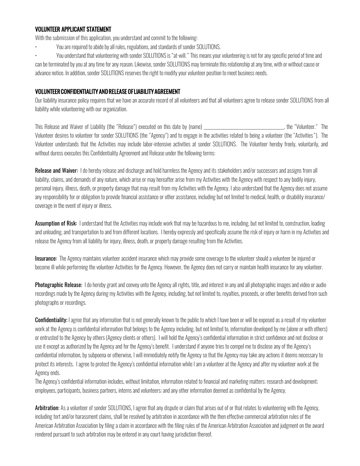## VOLUNTEER APPLICANT STATEMENT

With the submission of this application, you understand and commit to the following:

• You are required to abide by all rules, regulations, and standards of sonder SOLUTIONS.

• You understand that volunteering with sonder SOLUTIONS is "at-will." This means your volunteering is not for any specific period of time and can be terminated by you at any time for any reason. Likewise, sonder SOLUTIONS may terminate this relationship at any time, with or without cause or advance notice. In addition, sonder SOLUTIONS reserves the right to modify your volunteer position to meet business needs.

## VOLUNTEER CONFIDENTIALITY AND RELEASE OF LIABILITY AGREEMENT

Our liability insurance policy requires that we have an accurate record of all volunteers and that all volunteers agree to release sonder SOLUTIONS from all liability while volunteering with our organization.

This Release and Waiver of Liability (the "Release") executed on this date by (name) The model of the "Volunteer." The Volunteer desires to volunteer for sonder SOLUTIONS (the "Agency") and to engage in the activities related to being a volunteer (the "Activities"). The Volunteer understands that the Activities may include labor-intensive activities at sonder SOLUTIONS. The Volunteer hereby freely, voluntarily, and without duress executes this Confidentiality Agreement and Release under the following terms:

Release and Waiver: I do hereby release and discharge and hold harmless the Agency and its stakeholders and/or successors and assigns from all liability, claims, and demands of any nature, which arise or may hereafter arise from my Activities with the Agency with respect to any bodily injury, personal injury, illness, death, or property damage that may result from my Activities with the Agency. I also understand that the Agency does not assume any responsibility for or obligation to provide financial assistance or other assistance, including but not limited to medical, health, or disability insurance/ coverage in the event of injury or illness.

Assumption of Risk: I understand that the Activities may include work that may be hazardous to me, including, but not limited to, construction, loading and unloading, and transportation to and from different locations. I hereby expressly and specifically assume the risk of injury or harm in my Activities and release the Agency from all liability for injury, illness, death, or property damage resulting from the Activities.

Insurance: The Agency maintains volunteer accident insurance which may provide some coverage to the volunteer should a volunteer be injured or become ill while performing the volunteer Activities for the Agency. However, the Agency does not carry or maintain health insurance for any volunteer.

Photographic Release: I do hereby grant and convey unto the Agency all rights, title, and interest in any and all photographic images and video or audio recordings made by the Agency during my Activities with the Agency, including, but not limited to, royalties, proceeds, or other benefits derived from such photographs or recordings.

**Confidentiality:** I agree that any information that is not generally known to the public to which I have been or will be exposed as a result of my volunteer work at the Agency is confidential information that belongs to the Agency including, but not limited to, information developed by me (alone or with others) or entrusted to the Agency by others (Agency clients or others). I will hold the Agency's confidential information in strict confidence and not disclose or use it except as authorized by the Agency and for the Agency's benefit. I understand if anyone tries to compel me to disclose any of the Agency's confidential information, by subpoena or otherwise, I will immediately notify the Agency so that the Agency may take any actions it deems necessary to protect its interests. I agree to protect the Agency's confidential information while I am a volunteer at the Agency and after my volunteer work at the Agency ends.

The Agency's confidential information includes, without limitation, information related to financial and marketing matters; research and development; employees, participants, business partners, interns and volunteers; and any other information deemed as confidential by the Agency.

Arbitration: As a volunteer of sonder SOLUTIONS, I agree that any dispute or claim that arises out of or that relates to volunteering with the Agency, including tort and/or harassment claims, shall be resolved by arbitration in accordance with the then effective commercial arbitration rules of the American Arbitration Association by filing a claim in accordance with the filing rules of the American Arbitration Association and judgment on the award rendered pursuant to such arbitration may be entered in any court having jurisdiction thereof.